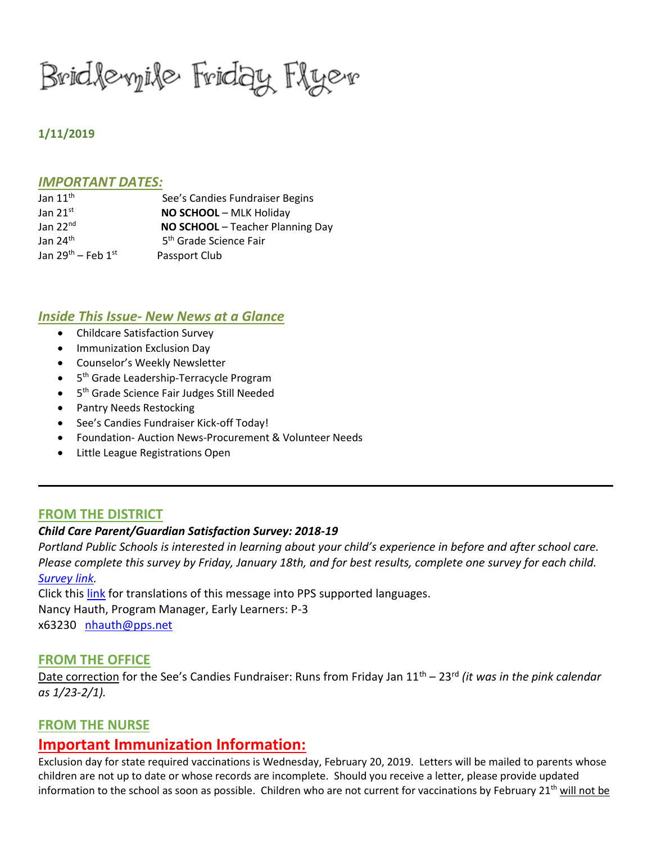Bridlevyile Friday Flyev

## **1/11/2019**

#### *IMPORTANT DATES:*

| Jan $11^{\text{th}}$         | See's Candies Fundraiser Begins    |
|------------------------------|------------------------------------|
| Jan $21^{st}$                | NO SCHOOL - MLK Holiday            |
| Jan $22nd$                   | NO SCHOOL - Teacher Planning Day   |
| Jan 24 <sup>th</sup>         | 5 <sup>th</sup> Grade Science Fair |
| Jan $29^{th}$ – Feb $1^{st}$ | Passport Club                      |

## *Inside This Issue- New News at a Glance*

- Childcare Satisfaction Survey
- Immunization Exclusion Day
- Counselor's Weekly Newsletter
- 5<sup>th</sup> Grade Leadership-Terracycle Program
- 5<sup>th</sup> Grade Science Fair Judges Still Needed
- Pantry Needs Restocking
- See's Candies Fundraiser Kick-off Today!
- Foundation- Auction News-Procurement & Volunteer Needs
- Little League Registrations Open

# **FROM THE DISTRICT**

### *Child Care Parent/Guardian Satisfaction Survey: 2018-19*

*Portland Public Schools is interested in learning about your child's experience in before and after school care. Please complete this survey by Friday, January 18th, and for best results, complete one survey for each child. [Survey link.](https://docs.google.com/forms/d/e/1FAIpQLScHhnFtOJiZfPAa9O3bXByrHUfFbrypCa88PYF6l5hSWbYjgg/viewform)*

Click this [link](https://docs.google.com/document/d/1kb30gFDEQghVpW2YEQvIw9aorCExAyZSWQqvnEDHVYE/edit?usp=sharing) for translations of this message into PPS supported languages. Nancy Hauth, Program Manager, Early Learners: P-3 x63230 [nhauth@pps.net](mailto:nhauth@pps.net)

### **FROM THE OFFICE**

Date correction for the See's Candies Fundraiser: Runs from Friday Jan 11<sup>th</sup> – 23<sup>rd</sup> *(it was in the pink calendar as 1/23-2/1).* 

### **FROM THE NURSE**

# **Important Immunization Information:**

Exclusion day for state required vaccinations is Wednesday, February 20, 2019. Letters will be mailed to parents whose children are not up to date or whose records are incomplete. Should you receive a letter, please provide updated information to the school as soon as possible. Children who are not current for vaccinations by February  $21<sup>th</sup>$  will not be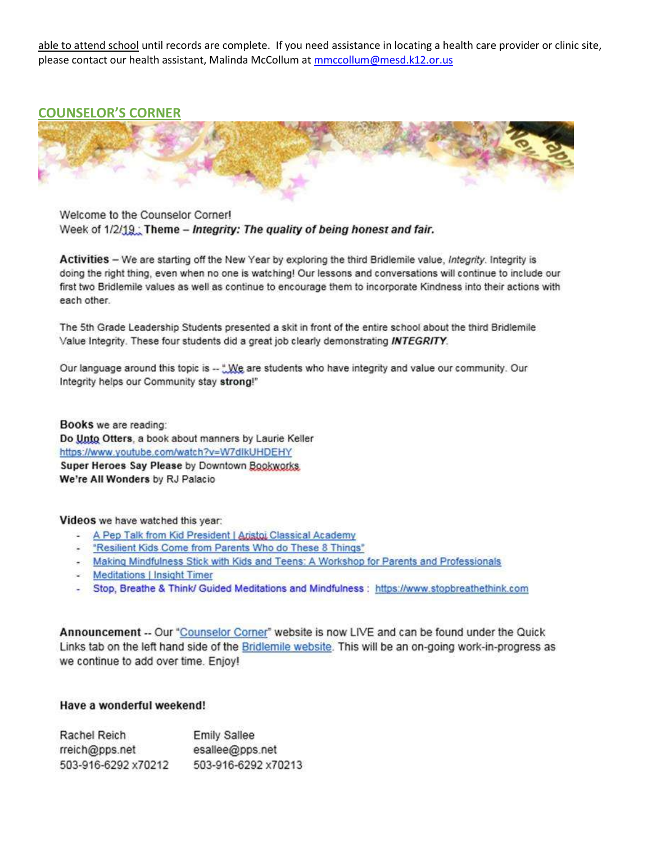able to attend school until records are complete. If you need assistance in locating a health care provider or clinic site, please contact our health assistant, Malinda McCollum at mmccollum@mesd.k12.or.us

### **COUNSELOR'S CORNER**



Welcome to the Counselor Corner! Week of 1/2/19; Theme - Integrity: The quality of being honest and fair.

Activities - We are starting off the New Year by exploring the third Bridlemile value, Integrity. Integrity is doing the right thing, even when no one is watching! Our lessons and conversations will continue to include our first two Bridlemile values as well as continue to encourage them to incorporate Kindness into their actions with each other.

The 5th Grade Leadership Students presented a skit in front of the entire school about the third Bridlemile Value Integrity. These four students did a great job clearly demonstrating INTEGRITY.

Our language around this topic is -- "We are students who have integrity and value our community. Our Integrity helps our Community stay strong!"

Books we are reading: Do Unto Otters, a book about manners by Laurie Keller https://www.youtube.com/watch?v=W7dlkUHDEHY Super Heroes Say Please by Downtown Bookworks We're All Wonders by RJ Palacio

Videos we have watched this year:

- A Pep Talk from Kid President | Aristoi Classical Academy
- "Resilient Kids Come from Parents Who do These 8 Things"
- Making Mindfulness Stick with Kids and Teens: A Workshop for Parents and Professionals
- Meditations | Insight Timer
- Stop, Breathe & Think/ Guided Meditations and Mindfulness : https://www.stopbreathethink.com

Announcement -- Our "Counselor Corner" website is now LIVE and can be found under the Quick Links tab on the left hand side of the Bridlemile website. This will be an on-going work-in-progress as we continue to add over time. Enjoy!

#### Have a wonderful weekend!

| Rachel Reich        | <b>Emily Sallee</b> |
|---------------------|---------------------|
| rreich@pps.net      | esallee@pps.net     |
| 503-916-6292 x70212 | 503-916-6292 x70213 |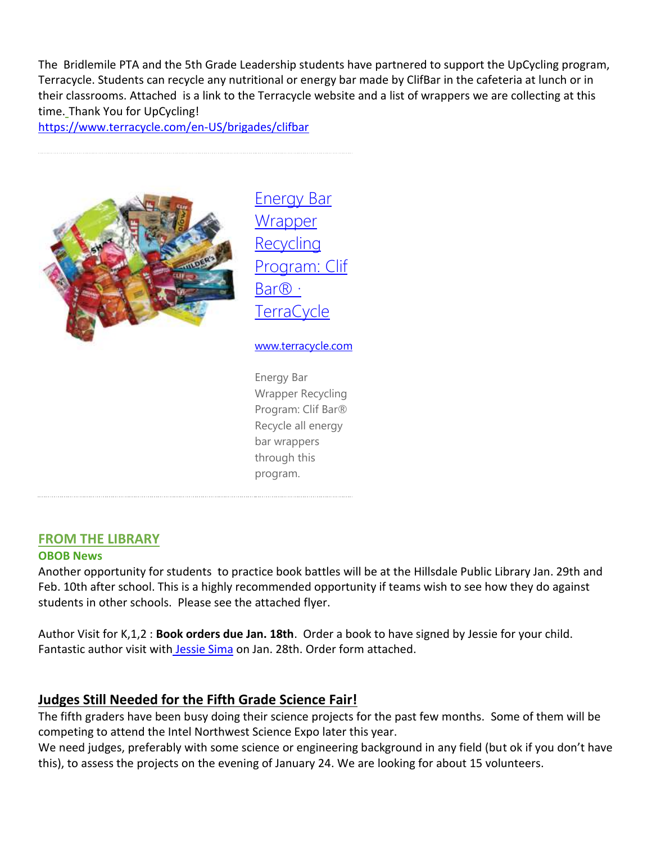The Bridlemile PTA and the 5th Grade Leadership students have partnered to support the UpCycling program, Terracycle. Students can recycle any nutritional or energy bar made by ClifBar in the cafeteria at lunch or in their classrooms. Attached is a link to the Terracycle website and a list of wrappers we are collecting at this time. Thank You for UpCycling!

<https://www.terracycle.com/en-US/brigades/clifbar>



[Energy Bar](https://www.terracycle.com/en-US/brigades/clifbar)  **Wrapper** [Recycling](https://www.terracycle.com/en-US/brigades/clifbar)  [Program: Clif](https://www.terracycle.com/en-US/brigades/clifbar)  [Bar® ·](https://www.terracycle.com/en-US/brigades/clifbar)  [TerraCycle](https://www.terracycle.com/en-US/brigades/clifbar)

#### [www.terracycle.com](http://www.terracycle.com/)

Energy Bar Wrapper Recycling Program: Clif Bar® Recycle all energy bar wrappers through this program.

### **FROM THE LIBRARY**

### **OBOB News**

Another opportunity for students to practice book battles will be at the Hillsdale Public Library Jan. 29th and Feb. 10th after school. This is a highly recommended opportunity if teams wish to see how they do against students in other schools. Please see the attached flyer.

Author Visit for K,1,2 : **Book orders due Jan. 18th**. Order a book to have signed by Jessie for your child. Fantastic author visit with [Jessie Sima](https://www.jessiesima.com/) on Jan. 28th. Order form attached.

# **Judges Still Needed for the Fifth Grade Science Fair!**

The fifth graders have been busy doing their science projects for the past few months. Some of them will be competing to attend the Intel Northwest Science Expo later this year.

We need judges, preferably with some science or engineering background in any field (but ok if you don't have this), to assess the projects on the evening of January 24. We are looking for about 15 volunteers.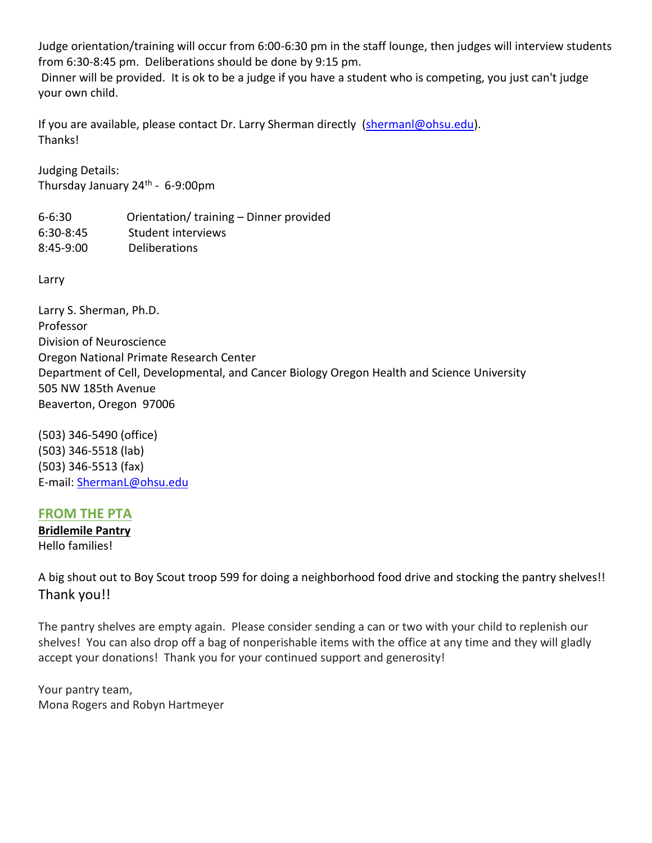Judge orientation/training will occur from 6:00-6:30 pm in the staff lounge, then judges will interview students from 6:30-8:45 pm. Deliberations should be done by 9:15 pm.

Dinner will be provided. It is ok to be a judge if you have a student who is competing, you just can't judge your own child.

If you are available, please contact Dr. Larry Sherman directly [\(shermanl@ohsu.edu\)](mailto:shermanl@ohsu.edu). Thanks!

Judging Details: Thursday January 24<sup>th</sup> - 6-9:00pm

6-6:30 Orientation/ training – Dinner provided 6:30-8:45 Student interviews 8:45-9:00 Deliberations

Larry

Larry S. Sherman, Ph.D. Professor Division of Neuroscience Oregon National Primate Research Center Department of Cell, Developmental, and Cancer Biology Oregon Health and Science University 505 NW 185th Avenue Beaverton, Oregon 97006

(503) 346-5490 (office) (503) 346-5518 (lab) (503) 346-5513 (fax) E-mail: [ShermanL@ohsu.edu](mailto:ShermanL@ohsu.edu)

# **FROM THE PTA**

**Bridlemile Pantry** Hello families!

A big shout out to Boy Scout troop 599 for doing a neighborhood food drive and stocking the pantry shelves!! Thank you!!

The pantry shelves are empty again. Please consider sending a can or two with your child to replenish our shelves! You can also drop off a bag of nonperishable items with the office at any time and they will gladly accept your donations! Thank you for your continued support and generosity!

Your pantry team, Mona Rogers and Robyn Hartmeyer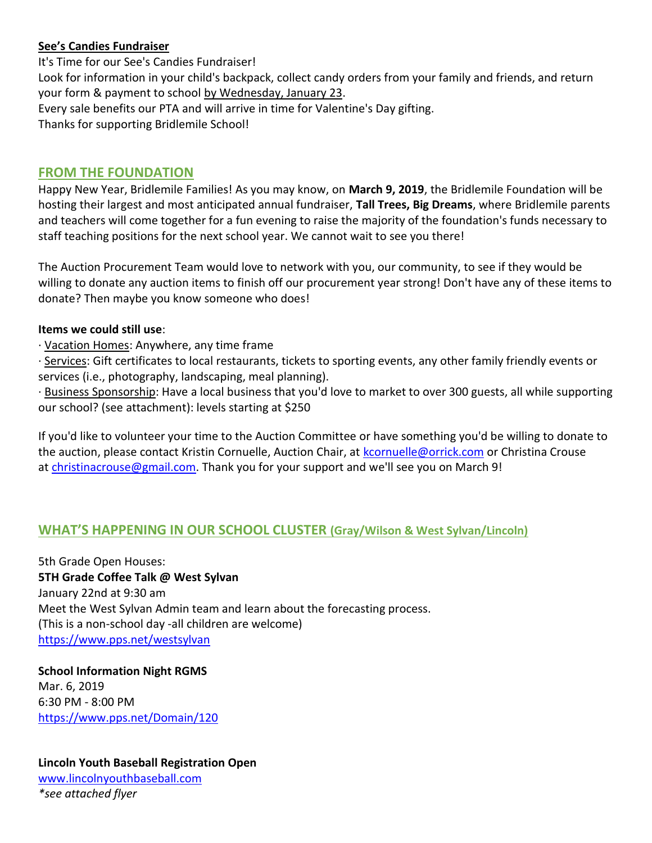# **See's Candies Fundraiser**

It's Time for our See's Candies Fundraiser! Look for information in your child's backpack, collect candy orders from your family and friends, and return your form & payment to school by Wednesday, January 23. Every sale benefits our PTA and will arrive in time for Valentine's Day gifting. Thanks for supporting Bridlemile School!

# **FROM THE FOUNDATION**

Happy New Year, Bridlemile Families! As you may know, on **March 9, 2019**, the Bridlemile Foundation will be hosting their largest and most anticipated annual fundraiser, **Tall Trees, Big Dreams**, where Bridlemile parents and teachers will come together for a fun evening to raise the majority of the foundation's funds necessary to staff teaching positions for the next school year. We cannot wait to see you there!

The Auction Procurement Team would love to network with you, our community, to see if they would be willing to donate any auction items to finish off our procurement year strong! Don't have any of these items to donate? Then maybe you know someone who does!

## **Items we could still use**:

· Vacation Homes: Anywhere, any time frame

· Services: Gift certificates to local restaurants, tickets to sporting events, any other family friendly events or services (i.e., photography, landscaping, meal planning).

· Business Sponsorship: Have a local business that you'd love to market to over 300 guests, all while supporting our school? (see attachment): levels starting at \$250

If you'd like to volunteer your time to the Auction Committee or have something you'd be willing to donate to the auction, please contact Kristin Cornuelle, Auction Chair, at [kcornuelle@orrick.com](mailto:kcornuelle@orrick.com) or Christina Crouse at [christinacrouse@gmail.com.](mailto:christinacrouse@gmail.com) Thank you for your support and we'll see you on March 9!

# **WHAT'S HAPPENING IN OUR SCHOOL CLUSTER (Gray/Wilson & West Sylvan/Lincoln)**

5th Grade Open Houses: **5TH Grade Coffee Talk @ West Sylvan** January 22nd at 9:30 am Meet the West Sylvan Admin team and learn about the forecasting process. (This is a non-school day -all children are welcome) <https://www.pps.net/westsylvan>

**School Information Night RGMS** Mar. 6, 2019 6:30 PM - 8:00 PM <https://www.pps.net/Domain/120>

**Lincoln Youth Baseball Registration Open** [www.lincolnyouthbaseball.com](http://www.lincolnyouthbaseball.com/) *\*see attached flyer*